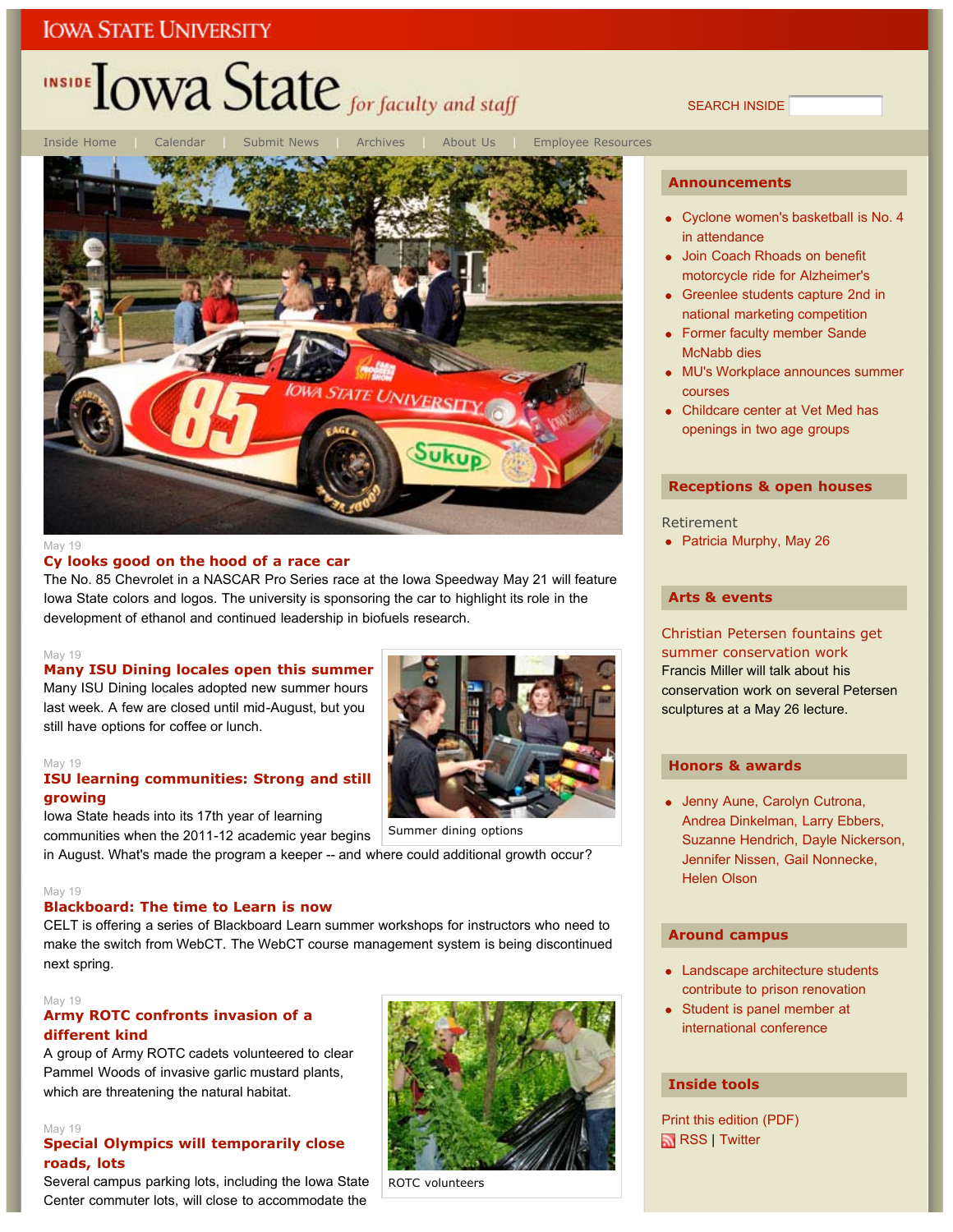# INSIDE **LOWA State** for faculty and staff

Inside Home | Calendar | Submit News | Archives | About Us | Employee Resources **ATE UNIVERSIT** 

#### May 19

#### **Cy looks good on the hood of a race car**

The No. 85 Chevrolet in a NASCAR Pro Series race at the Iowa Speedway May 21 will feature Iowa State colors and logos. The university is sponsoring the car to highlight its role in the development of ethanol and continued leadership in biofuels research.

#### May 19

### **Many ISU Dining locales open this summer**

Many ISU Dining locales adopted new summer hours last week. A few are closed until mid-August, but you still have options for coffee or lunch.

#### May 19

### **ISU learning communities: Strong and still growing**

Iowa State heads into its 17th year of learning

communities when the 2011-12 academic year begins

in August. What's made the program a keeper -- and where could additional growth occur?

#### May 19

## **Blackboard: The time to Learn is now**

CELT is offering a series of Blackboard Learn summer workshops for instructors who need to make the switch from WebCT. The WebCT course management system is being discontinued next spring.

#### May 19

## **Army ROTC confronts invasion of a different kind**

A group of Army ROTC cadets volunteered to clear Pammel Woods of invasive garlic mustard plants, which are threatening the natural habitat.

### May 19

### **Special Olympics will temporarily close roads, lots**

Several campus parking lots, including the Iowa State Center commuter lots, will close to accommodate the



ROTC volunteers

### **Announcements**

SEARCH INSIDE

- Cyclone women's basketball is No. 4 in attendance
- Join Coach Rhoads on benefit motorcycle ride for Alzheimer's
- Greenlee students capture 2nd in national marketing competition
- Former faculty member Sande McNabb dies
- MU's Workplace announces summer courses
- Childcare center at Vet Med has openings in two age groups

### **Receptions & open houses**

Retirement

• Patricia Murphy, May 26

#### **Arts & events**

## Christian Petersen fountains get summer conservation work Francis Miller will talk about his conservation work on several Petersen sculptures at a May 26 lecture.

### **Honors & awards**

Jenny Aune, Carolyn Cutrona, Andrea Dinkelman, Larry Ebbers, Suzanne Hendrich, Dayle Nickerson, Jennifer Nissen, Gail Nonnecke, Helen Olson

### **Around campus**

- Landscape architecture students contribute to prison renovation
- Student is panel member at international conference

## **Inside tools**

Print this edition (PDF) RSS | Twitter

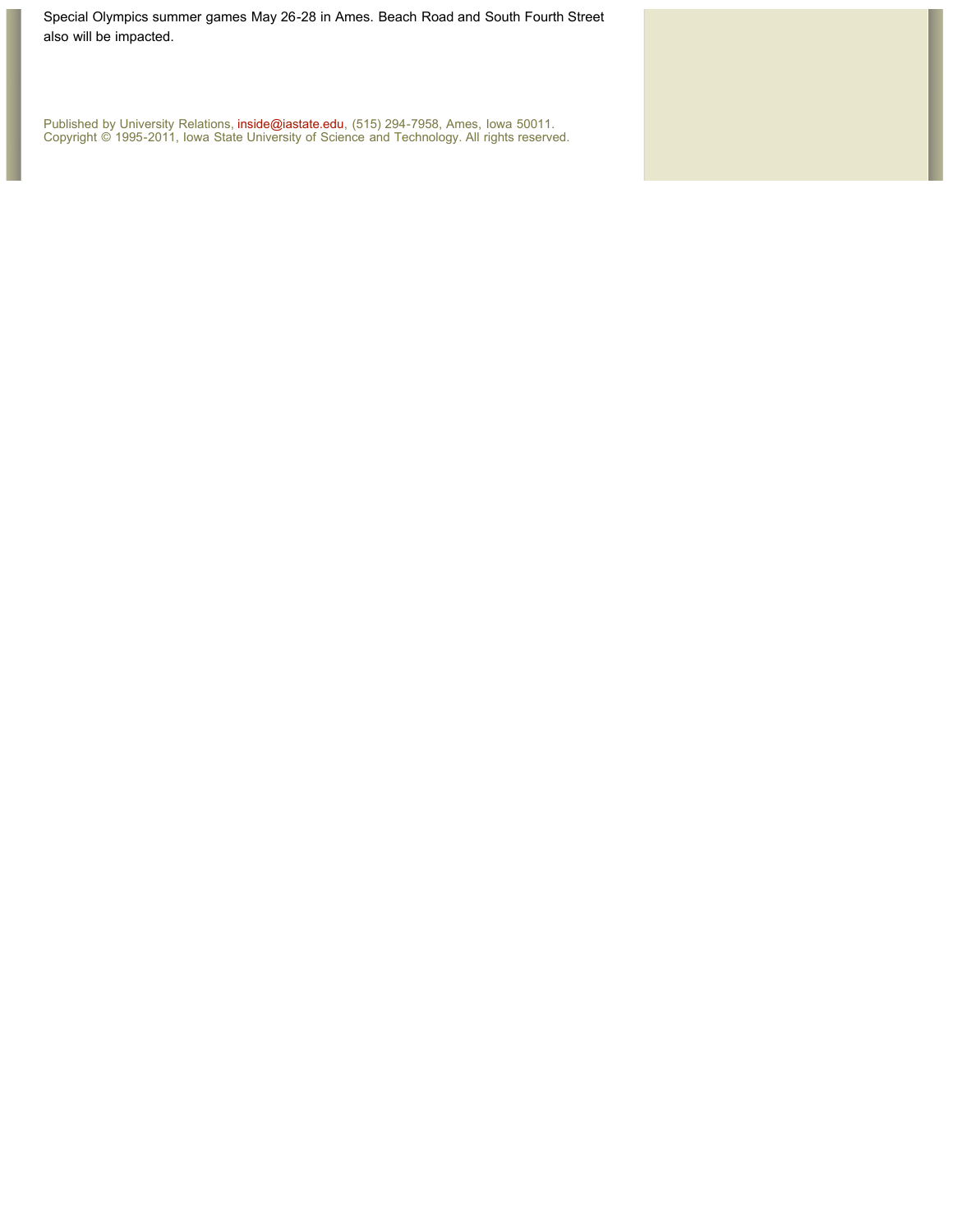Special Olympics summer games May 26-28 in Ames. Beach Road and South Fourth Street also will be impacted.

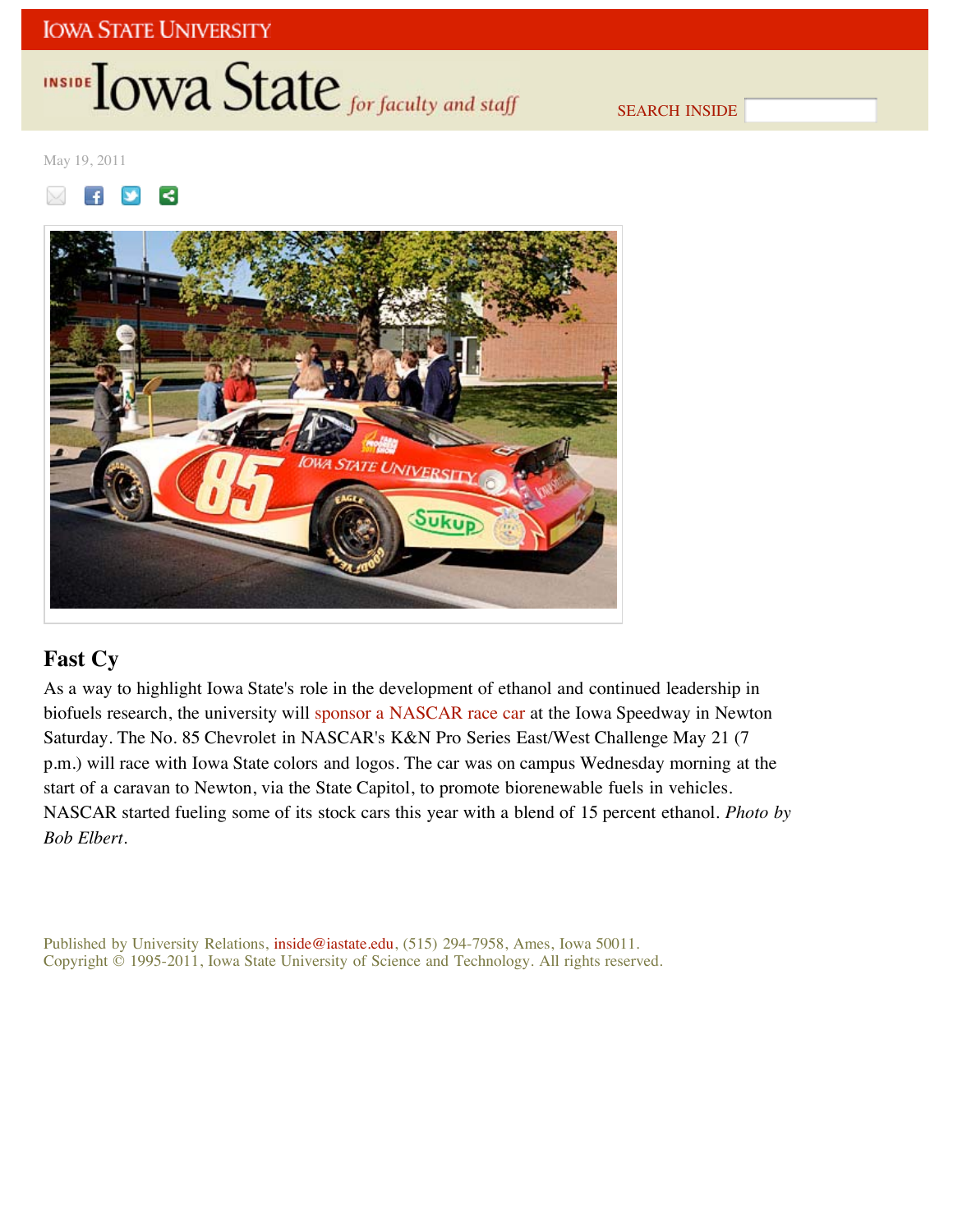# INSIDE **IOWA State** for faculty and staff

SEARCH INSIDE

May 19, 2011





## **Fast Cy**

As a way to highlight Iowa State's role in the development of ethanol and continued leadership in biofuels research, the university will sponsor a NASCAR race car at the Iowa Speedway in Newton Saturday. The No. 85 Chevrolet in NASCAR's K&N Pro Series East/West Challenge May 21 (7 p.m.) will race with Iowa State colors and logos. The car was on campus Wednesday morning at the start of a caravan to Newton, via the State Capitol, to promote biorenewable fuels in vehicles. NASCAR started fueling some of its stock cars this year with a blend of 15 percent ethanol. *Photo by Bob Elbert*.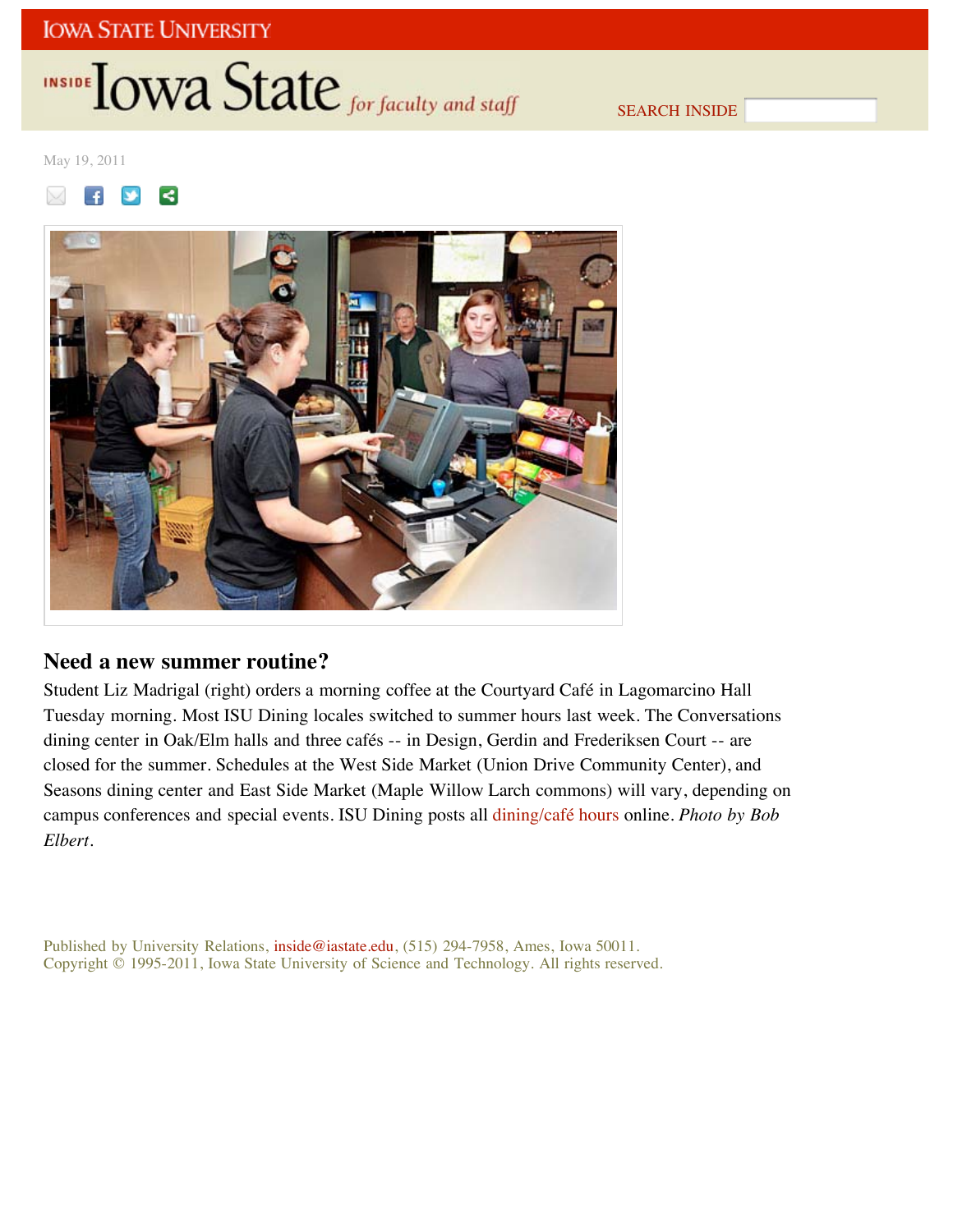# INSIDE **IOWA State** for faculty and staff

SEARCH INSIDE

May 19, 2011





## **Need a new summer routine?**

Student Liz Madrigal (right) orders a morning coffee at the Courtyard Café in Lagomarcino Hall Tuesday morning. Most ISU Dining locales switched to summer hours last week. The Conversations dining center in Oak/Elm halls and three cafés -- in Design, Gerdin and Frederiksen Court -- are closed for the summer. Schedules at the West Side Market (Union Drive Community Center), and Seasons dining center and East Side Market (Maple Willow Larch commons) will vary, depending on campus conferences and special events. ISU Dining posts all dining/café hours online. *Photo by Bob Elbert*.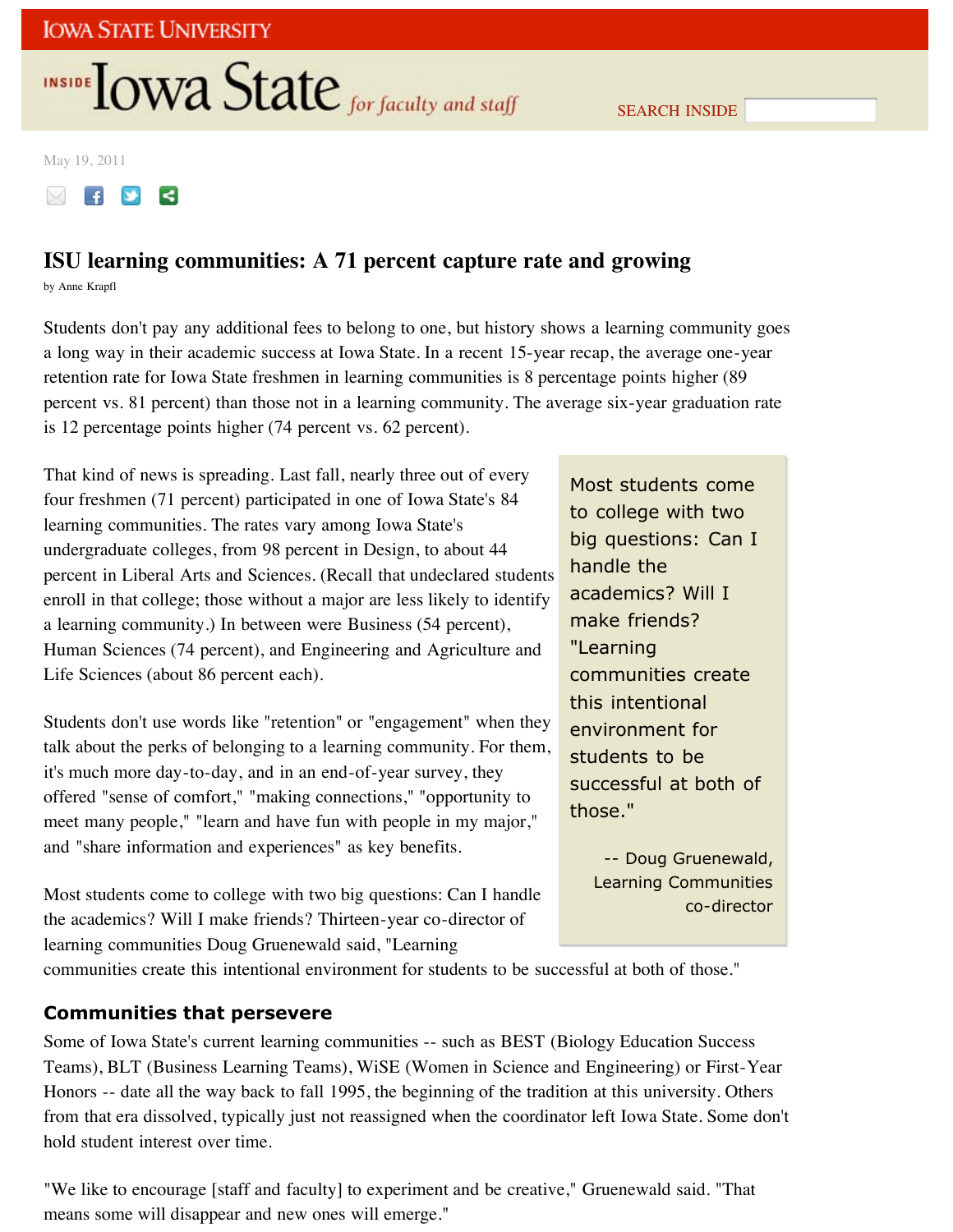# **INSIDE TOWA State** for faculty and staff

May 19, 2011

## **ISU learning communities: A 71 percent capture rate and growing**

by Anne Krapfl

Students don't pay any additional fees to belong to one, but history shows a learning community goes a long way in their academic success at Iowa State. In a recent 15-year recap, the average one-year retention rate for Iowa State freshmen in learning communities is 8 percentage points higher (89 percent vs. 81 percent) than those not in a learning community. The average six-year graduation rate is 12 percentage points higher (74 percent vs. 62 percent).

That kind of news is spreading. Last fall, nearly three out of every four freshmen (71 percent) participated in one of Iowa State's 84 learning communities. The rates vary among Iowa State's undergraduate colleges, from 98 percent in Design, to about 44 percent in Liberal Arts and Sciences. (Recall that undeclared students enroll in that college; those without a major are less likely to identify a learning community.) In between were Business (54 percent), Human Sciences (74 percent), and Engineering and Agriculture and Life Sciences (about 86 percent each).

Students don't use words like "retention" or "engagement" when they talk about the perks of belonging to a learning community. For them, it's much more day-to-day, and in an end-of-year survey, they offered "sense of comfort," "making connections," "opportunity to meet many people," "learn and have fun with people in my major," and "share information and experiences" as key benefits.

Most students come to college with two big questions: Can I handle the academics? Will I make friends? Thirteen-year co-director of learning communities Doug Gruenewald said, "Learning

Most students come to college with two big questions: Can I handle the academics? Will I make friends? "Learning communities create this intentional environment for students to be successful at both of those."

SEARCH INSIDE

-- Doug Gruenewald, Learning Communities co-director

communities create this intentional environment for students to be successful at both of those."

## **Communities that persevere**

Some of Iowa State's current learning communities -- such as BEST (Biology Education Success Teams), BLT (Business Learning Teams), WiSE (Women in Science and Engineering) or First-Year Honors -- date all the way back to fall 1995, the beginning of the tradition at this university. Others from that era dissolved, typically just not reassigned when the coordinator left Iowa State. Some don't hold student interest over time.

"We like to encourage [staff and faculty] to experiment and be creative," Gruenewald said. "That means some will disappear and new ones will emerge."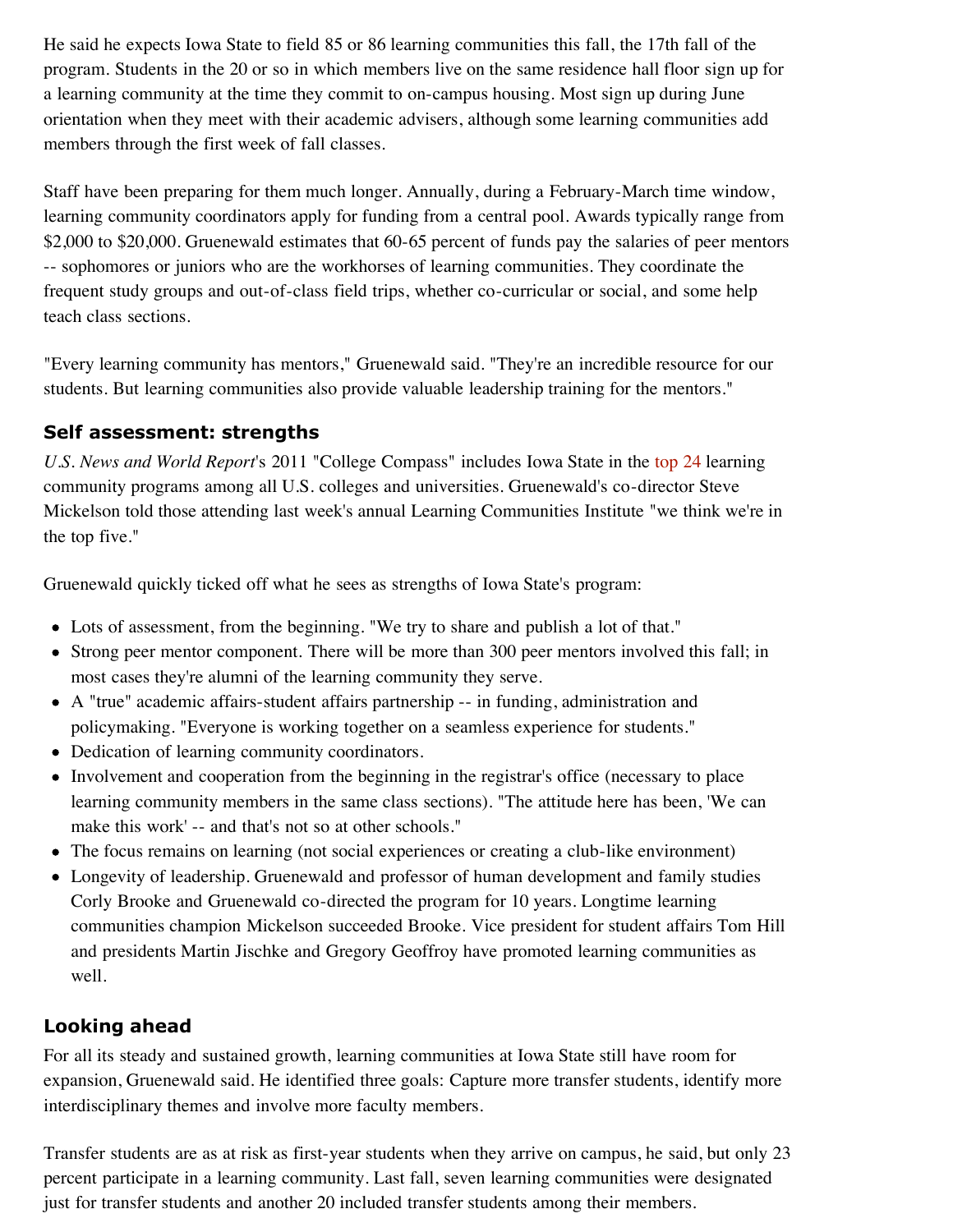He said he expects Iowa State to field 85 or 86 learning communities this fall, the 17th fall of the program. Students in the 20 or so in which members live on the same residence hall floor sign up for a learning community at the time they commit to on-campus housing. Most sign up during June orientation when they meet with their academic advisers, although some learning communities add members through the first week of fall classes.

Staff have been preparing for them much longer. Annually, during a February-March time window, learning community coordinators apply for funding from a central pool. Awards typically range from \$2,000 to \$20,000. Gruenewald estimates that 60-65 percent of funds pay the salaries of peer mentors -- sophomores or juniors who are the workhorses of learning communities. They coordinate the frequent study groups and out-of-class field trips, whether co-curricular or social, and some help teach class sections.

"Every learning community has mentors," Gruenewald said. "They're an incredible resource for our students. But learning communities also provide valuable leadership training for the mentors."

## **Self assessment: strengths**

*U.S. News and World Report*'s 2011 "College Compass" includes Iowa State in the top 24 learning community programs among all U.S. colleges and universities. Gruenewald's co-director Steve Mickelson told those attending last week's annual Learning Communities Institute "we think we're in the top five."

Gruenewald quickly ticked off what he sees as strengths of Iowa State's program:

- Lots of assessment, from the beginning. "We try to share and publish a lot of that."
- Strong peer mentor component. There will be more than 300 peer mentors involved this fall; in most cases they're alumni of the learning community they serve.
- A "true" academic affairs-student affairs partnership -- in funding, administration and policymaking. "Everyone is working together on a seamless experience for students."
- Dedication of learning community coordinators.
- Involvement and cooperation from the beginning in the registrar's office (necessary to place learning community members in the same class sections). "The attitude here has been, 'We can make this work' -- and that's not so at other schools."
- The focus remains on learning (not social experiences or creating a club-like environment)
- Longevity of leadership. Gruenewald and professor of human development and family studies Corly Brooke and Gruenewald co-directed the program for 10 years. Longtime learning communities champion Mickelson succeeded Brooke. Vice president for student affairs Tom Hill and presidents Martin Jischke and Gregory Geoffroy have promoted learning communities as well.

## **Looking ahead**

For all its steady and sustained growth, learning communities at Iowa State still have room for expansion, Gruenewald said. He identified three goals: Capture more transfer students, identify more interdisciplinary themes and involve more faculty members.

Transfer students are as at risk as first-year students when they arrive on campus, he said, but only 23 percent participate in a learning community. Last fall, seven learning communities were designated just for transfer students and another 20 included transfer students among their members.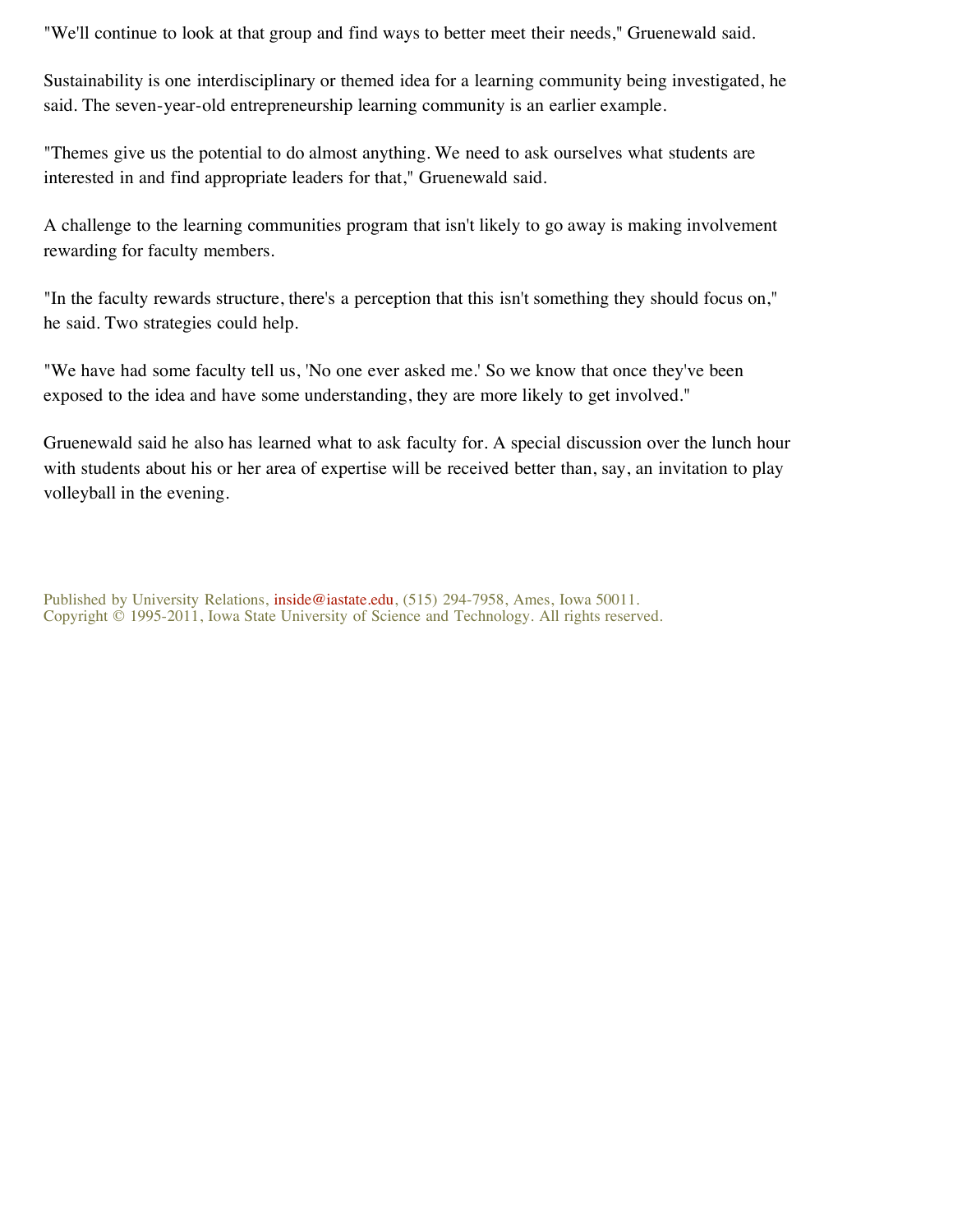"We'll continue to look at that group and find ways to better meet their needs," Gruenewald said.

Sustainability is one interdisciplinary or themed idea for a learning community being investigated, he said. The seven-year-old entrepreneurship learning community is an earlier example.

"Themes give us the potential to do almost anything. We need to ask ourselves what students are interested in and find appropriate leaders for that," Gruenewald said.

A challenge to the learning communities program that isn't likely to go away is making involvement rewarding for faculty members.

"In the faculty rewards structure, there's a perception that this isn't something they should focus on," he said. Two strategies could help.

"We have had some faculty tell us, 'No one ever asked me.' So we know that once they've been exposed to the idea and have some understanding, they are more likely to get involved."

Gruenewald said he also has learned what to ask faculty for. A special discussion over the lunch hour with students about his or her area of expertise will be received better than, say, an invitation to play volleyball in the evening.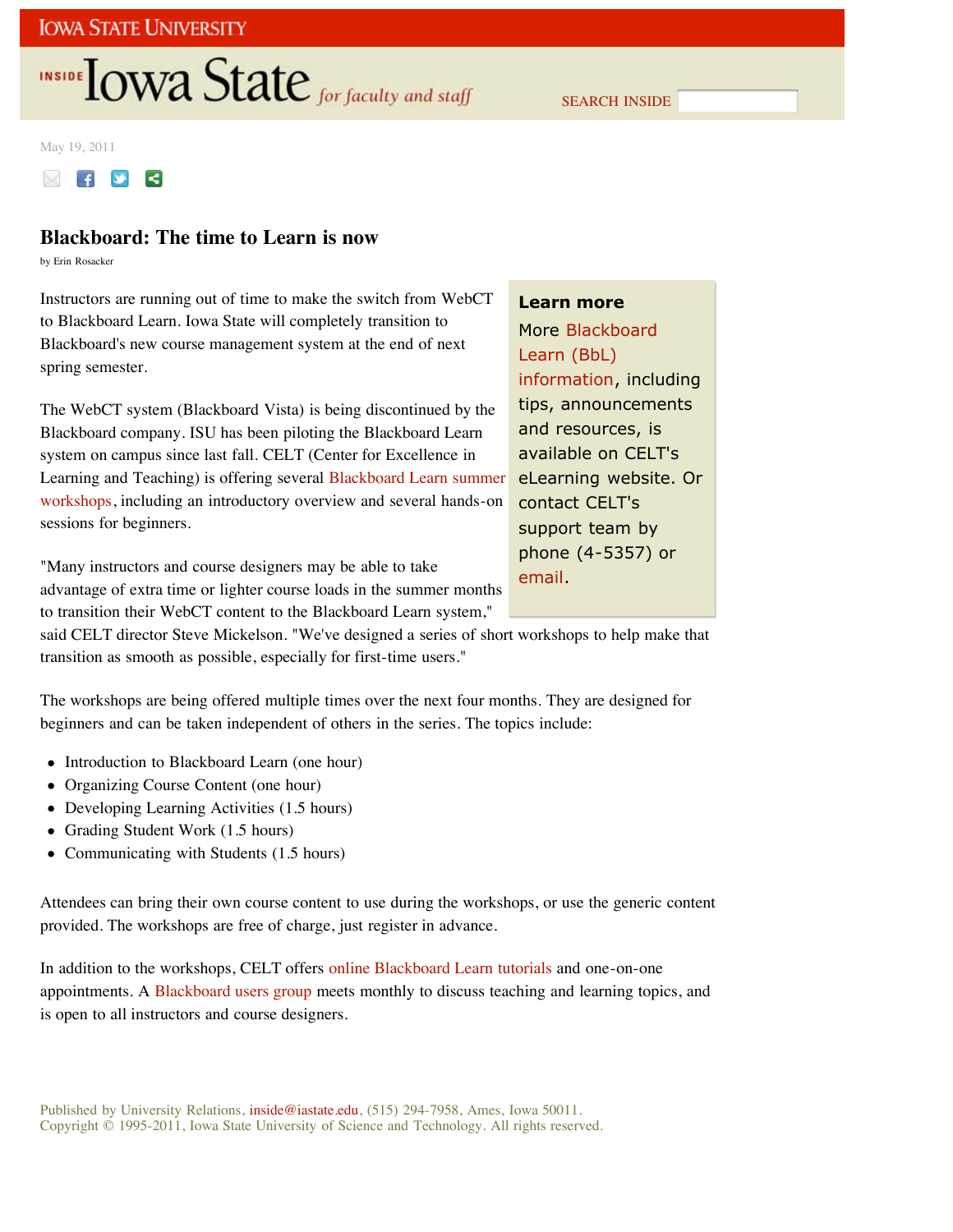# **INSIDE TOWA State** for faculty and staff

SEARCH INSIDE

May 19, 2011



## **Blackboard: The time to Learn is now**

by Erin Rosacker

Instructors are running out of time to make the switch from WebCT to Blackboard Learn. Iowa State will completely transition to Blackboard's new course management system at the end of next spring semester.

The WebCT system (Blackboard Vista) is being discontinued by the Blackboard company. ISU has been piloting the Blackboard Learn system on campus since last fall. CELT (Center for Excellence in Learning and Teaching) is offering several Blackboard Learn summer workshops, including an introductory overview and several hands-on sessions for beginners.

"Many instructors and course designers may be able to take advantage of extra time or lighter course loads in the summer months to transition their WebCT content to the Blackboard Learn system,"

## **Learn more**

More Blackboard Learn (BbL) information, including tips, announcements and resources, is available on CELT's eLearning website. Or contact CELT's support team by phone (4-5357) or email.

said CELT director Steve Mickelson. "We've designed a series of short workshops to help make that transition as smooth as possible, especially for first-time users."

The workshops are being offered multiple times over the next four months. They are designed for beginners and can be taken independent of others in the series. The topics include:

- Introduction to Blackboard Learn (one hour)
- Organizing Course Content (one hour)
- Developing Learning Activities (1.5 hours)
- Grading Student Work (1.5 hours)
- $\bullet$ Communicating with Students (1.5 hours)

Attendees can bring their own course content to use during the workshops, or use the generic content provided. The workshops are free of charge, just register in advance.

In addition to the workshops, CELT offers online Blackboard Learn tutorials and one-on-one appointments. A Blackboard users group meets monthly to discuss teaching and learning topics, and is open to all instructors and course designers.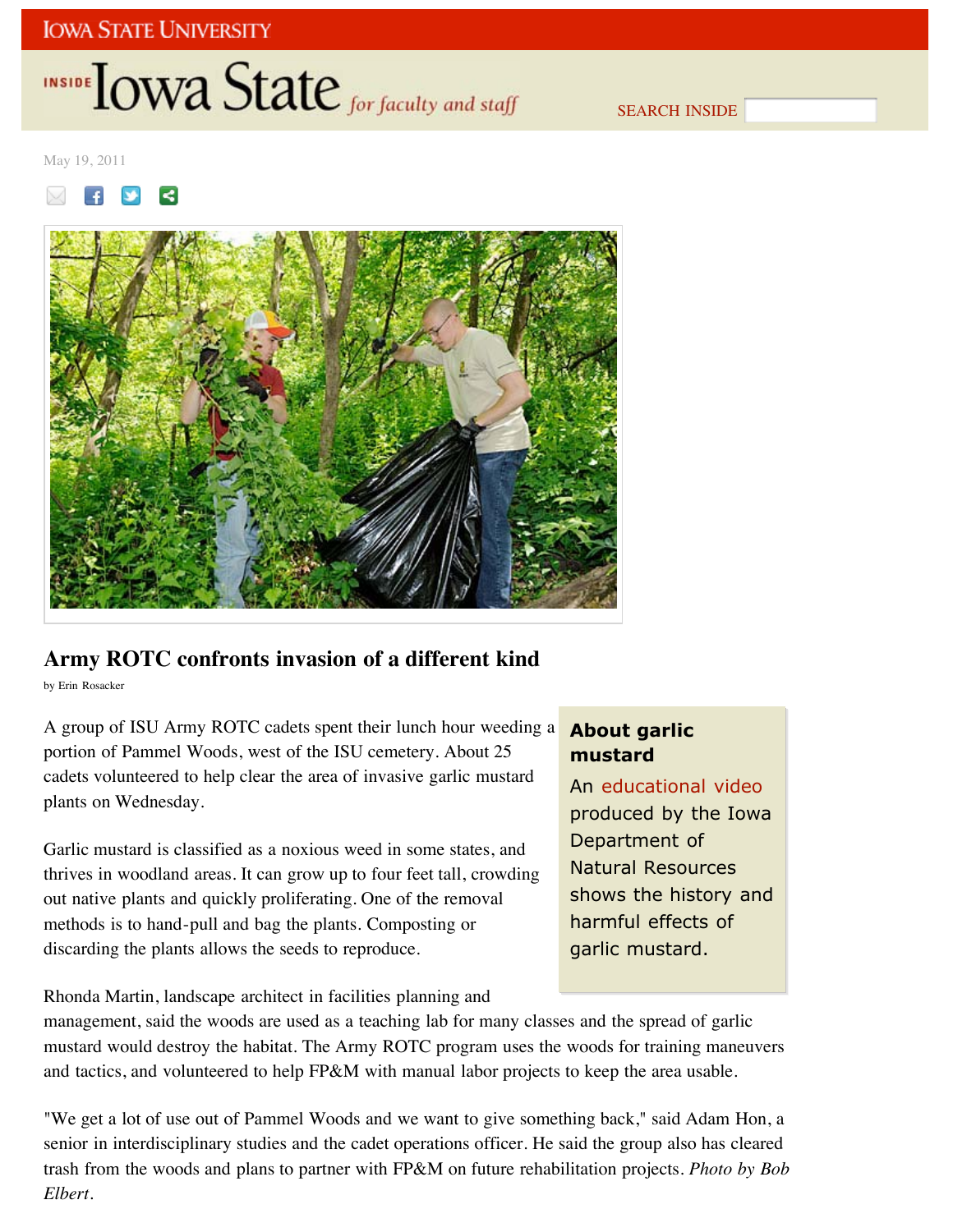# INSIDE **IOWA State** for faculty and staff

SEARCH INSIDE

May 19, 2011

 $\mathbf{f}$  $\prec$ 



## **Army ROTC confronts invasion of a different kind**

by Erin Rosacker

A group of ISU Army ROTC cadets spent their lunch hour weeding a portion of Pammel Woods, west of the ISU cemetery. About 25 cadets volunteered to help clear the area of invasive garlic mustard plants on Wednesday.

Garlic mustard is classified as a noxious weed in some states, and thrives in woodland areas. It can grow up to four feet tall, crowding out native plants and quickly proliferating. One of the removal methods is to hand-pull and bag the plants. Composting or discarding the plants allows the seeds to reproduce.

Rhonda Martin, landscape architect in facilities planning and

## **About garlic mustard**

An educational video produced by the Iowa Department of Natural Resources shows the history and harmful effects of garlic mustard.

management, said the woods are used as a teaching lab for many classes and the spread of garlic mustard would destroy the habitat. The Army ROTC program uses the woods for training maneuvers and tactics, and volunteered to help FP&M with manual labor projects to keep the area usable.

"We get a lot of use out of Pammel Woods and we want to give something back," said Adam Hon, a senior in interdisciplinary studies and the cadet operations officer. He said the group also has cleared trash from the woods and plans to partner with FP&M on future rehabilitation projects. *Photo by Bob Elbert*.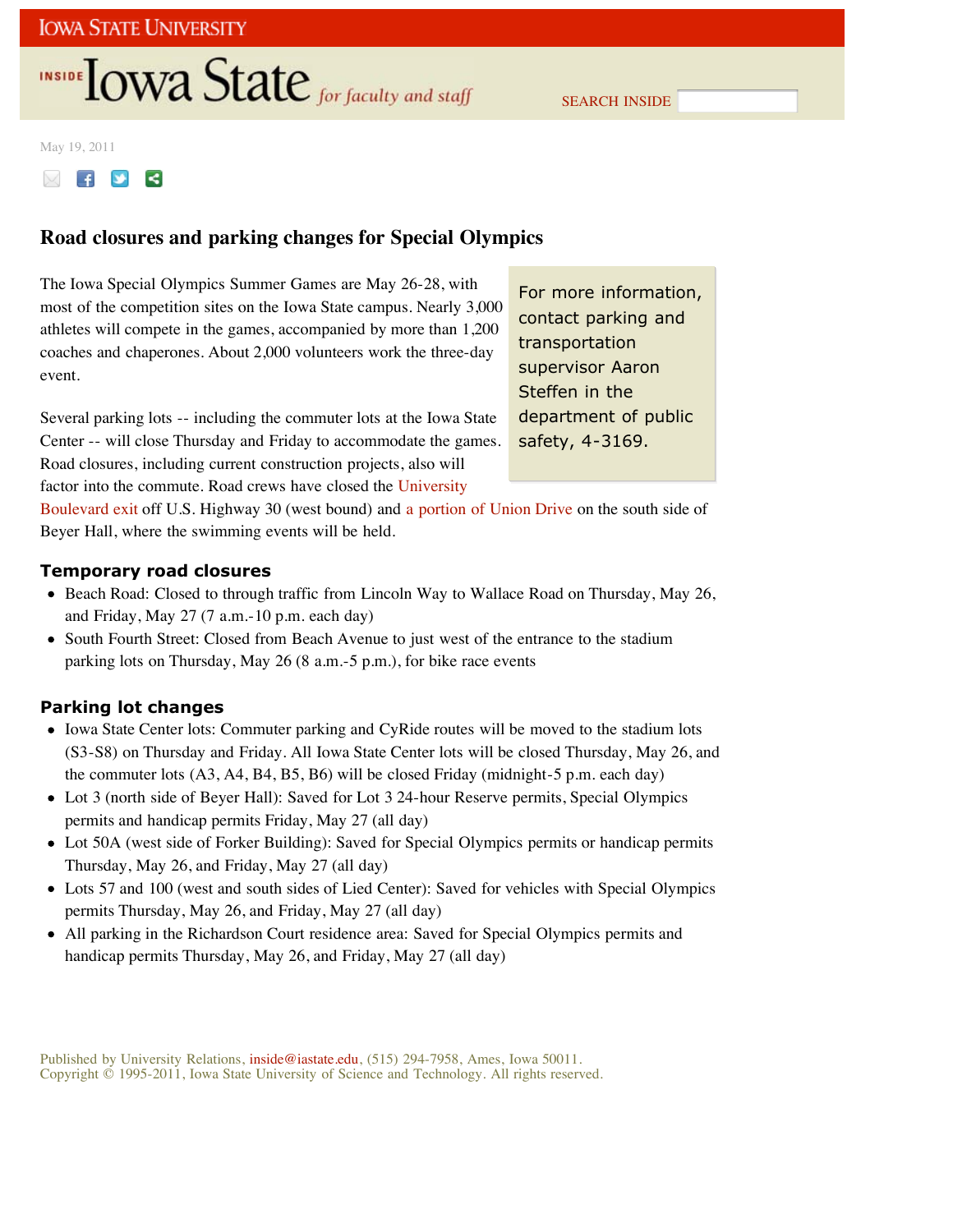# **INSIDE TOWA State** for faculty and staff

SEARCH INSIDE

### May 19, 2011



## **Road closures and parking changes for Special Olympics**

The Iowa Special Olympics Summer Games are May 26-28, with most of the competition sites on the Iowa State campus. Nearly 3,000 athletes will compete in the games, accompanied by more than 1,200 coaches and chaperones. About 2,000 volunteers work the three-day event.

For more information, contact parking and transportation supervisor Aaron Steffen in the department of public safety, 4-3169.

Several parking lots -- including the commuter lots at the Iowa State Center -- will close Thursday and Friday to accommodate the games. Road closures, including current construction projects, also will factor into the commute. Road crews have closed the University

Boulevard exit off U.S. Highway 30 (west bound) and a portion of Union Drive on the south side of Beyer Hall, where the swimming events will be held.

## **Temporary road closures**

- Beach Road: Closed to through traffic from Lincoln Way to Wallace Road on Thursday, May 26, and Friday, May 27 (7 a.m.-10 p.m. each day)
- South Fourth Street: Closed from Beach Avenue to just west of the entrance to the stadium parking lots on Thursday, May 26 (8 a.m.-5 p.m.), for bike race events

## **Parking lot changes**

- Iowa State Center lots: Commuter parking and CyRide routes will be moved to the stadium lots (S3-S8) on Thursday and Friday. All Iowa State Center lots will be closed Thursday, May 26, and the commuter lots (A3, A4, B4, B5, B6) will be closed Friday (midnight-5 p.m. each day)
- Lot 3 (north side of Beyer Hall): Saved for Lot 3 24-hour Reserve permits, Special Olympics permits and handicap permits Friday, May 27 (all day)
- Lot 50A (west side of Forker Building): Saved for Special Olympics permits or handicap permits Thursday, May 26, and Friday, May 27 (all day)
- Lots 57 and 100 (west and south sides of Lied Center): Saved for vehicles with Special Olympics permits Thursday, May 26, and Friday, May 27 (all day)
- All parking in the Richardson Court residence area: Saved for Special Olympics permits and handicap permits Thursday, May 26, and Friday, May 27 (all day)